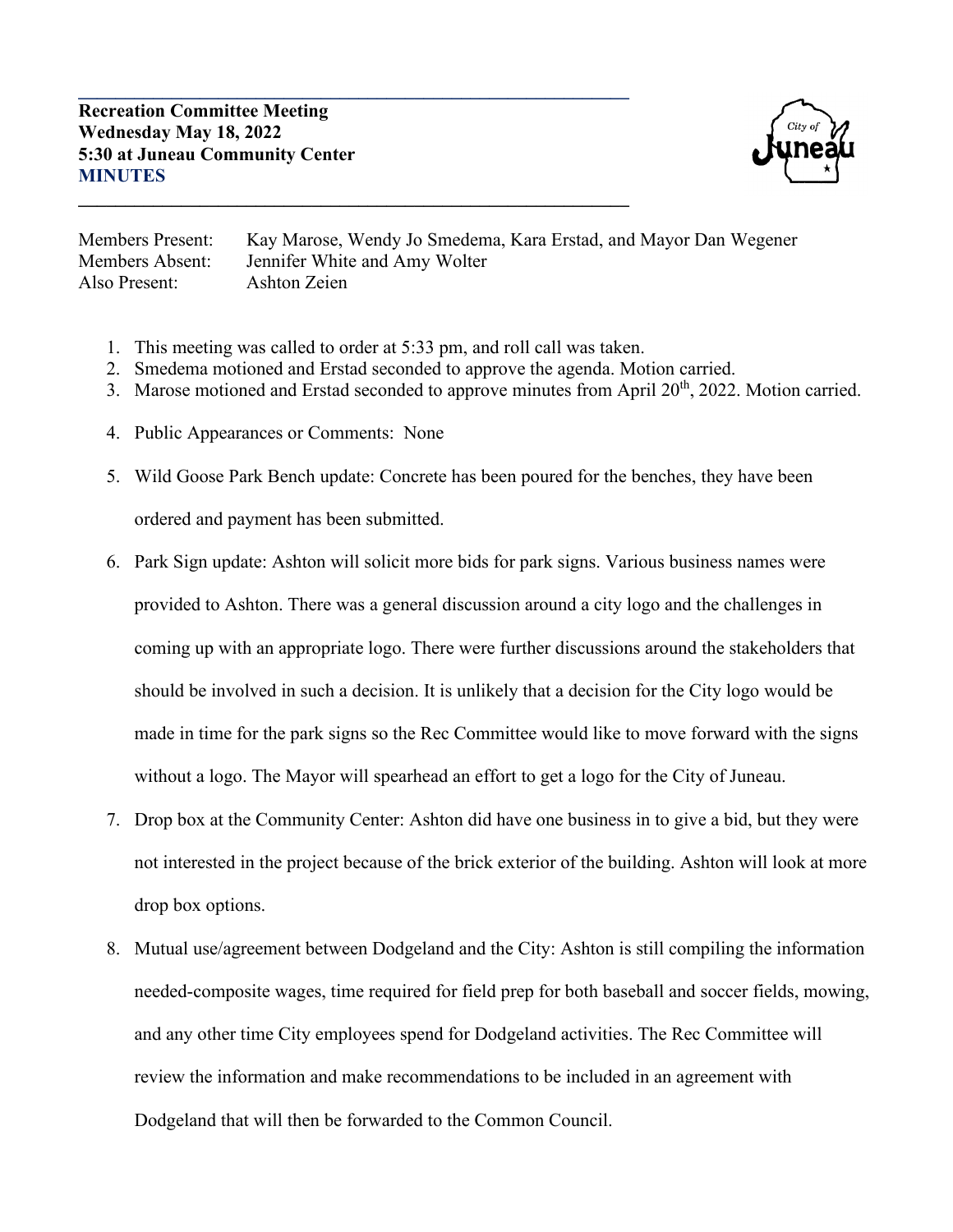

Members Present: Kay Marose, Wendy Jo Smedema, Kara Erstad, and Mayor Dan Wegener Members Absent: Jennifer White and Amy Wolter Also Present: Ashton Zeien

1. This meeting was called to order at 5:33 pm, and roll call was taken.

**\_\_\_\_\_\_\_\_\_\_\_\_\_\_\_\_\_\_\_\_\_\_\_\_\_\_\_\_\_\_\_\_\_\_\_\_\_\_\_\_\_\_\_\_\_\_\_\_\_\_\_\_\_\_\_\_\_\_\_**

**\_\_\_\_\_\_\_\_\_\_\_\_\_\_\_\_\_\_\_\_\_\_\_\_\_\_\_\_\_\_\_\_\_\_\_\_\_\_\_\_\_\_\_\_\_\_\_\_\_\_\_\_\_\_\_\_\_\_\_**

- 2. Smedema motioned and Erstad seconded to approve the agenda. Motion carried.
- 3. Marose motioned and Erstad seconded to approve minutes from April 20<sup>th</sup>, 2022. Motion carried.
- 4. Public Appearances or Comments: None
- 5. Wild Goose Park Bench update: Concrete has been poured for the benches, they have been ordered and payment has been submitted.
- 6. Park Sign update: Ashton will solicit more bids for park signs. Various business names were provided to Ashton. There was a general discussion around a city logo and the challenges in coming up with an appropriate logo. There were further discussions around the stakeholders that should be involved in such a decision. It is unlikely that a decision for the City logo would be made in time for the park signs so the Rec Committee would like to move forward with the signs without a logo. The Mayor will spearhead an effort to get a logo for the City of Juneau.
- 7. Drop box at the Community Center: Ashton did have one business in to give a bid, but they were not interested in the project because of the brick exterior of the building. Ashton will look at more drop box options.
- 8. Mutual use/agreement between Dodgeland and the City: Ashton is still compiling the information needed-composite wages, time required for field prep for both baseball and soccer fields, mowing, and any other time City employees spend for Dodgeland activities. The Rec Committee will review the information and make recommendations to be included in an agreement with Dodgeland that will then be forwarded to the Common Council.